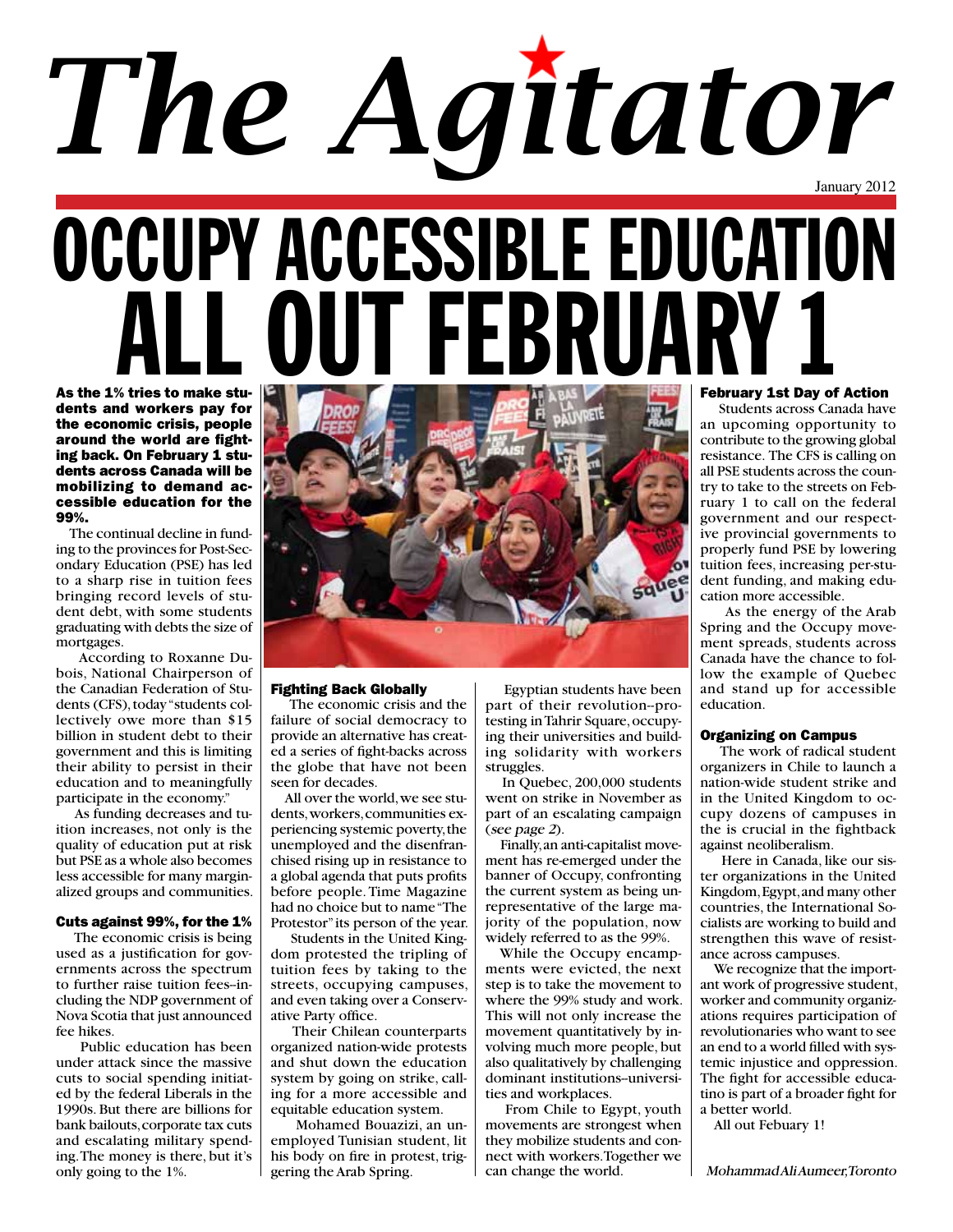# January 2012 *The Agitator*

## OCCUPY ACCESSIBLE EDUCATION LL OUT FEBRI As the 1% tries to make stu-

dents and workers pay for the economic crisis, people around the world are fighting back. On February 1 students across Canada will be mobilizing to demand accessible education for the 99%.

 The continual decline in funding to the provinces for Post-Secondary Education (PSE) has led to a sharp rise in tuition fees bringing record levels of student debt, with some students graduating with debts the size of mortgages.

 According to Roxanne Dubois, National Chairperson of the Canadian Federation of Students (CFS), today "students collectively owe more than \$15 billion in student debt to their government and this is limiting their ability to persist in their education and to meaningfully participate in the economy."

 As funding decreases and tuition increases, not only is the quality of education put at risk but PSE as a whole also becomes less accessible for many marginalized groups and communities.

#### Cuts against 99%, for the 1%

 The economic crisis is being used as a justification for governments across the spectrum to further raise tuition fees--including the NDP government of Nova Scotia that just announced fee hikes.

 Public education has been under attack since the massive cuts to social spending initiated by the federal Liberals in the 1990s. But there are billions for bank bailouts, corporate tax cuts and escalating military spending. The money is there, but it's only going to the 1%.



#### Fighting Back Globally

 The economic crisis and the failure of social democracy to provide an alternative has created a series of fight-backs across the globe that have not been seen for decades.

 All over the world, we see students, workers, communities experiencing systemic poverty, the unemployed and the disenfranchised rising up in resistance to a global agenda that puts profits before people. Time Magazine had no choice but to name "The Protestor" its person of the year.

 Students in the United Kingdom protested the tripling of tuition fees by taking to the streets, occupying campuses, and even taking over a Conservative Party office.

 Their Chilean counterparts organized nation-wide protests and shut down the education system by going on strike, calling for a more accessible and equitable education system.

 Mohamed Bouazizi, an unemployed Tunisian student, lit his body on fire in protest, triggering the Arab Spring.

 Egyptian students have been part of their revolution--protesting in Tahrir Square, occupying their universities and building solidarity with workers struggles.

 In Quebec, 200,000 students went on strike in November as part of an escalating campaign (see page <sup>2</sup>).

 Finally, an anti-capitalist movement has re-emerged under the banner of Occupy, confronting the current system as being unrepresentative of the large majority of the population, now widely referred to as the 99%.

 While the Occupy encampments were evicted, the next step is to take the movement to where the 99% study and work. This will not only increase the movement quantitatively by involving much more people, but also qualitatively by challenging dominant institutions--universities and workplaces.

 From Chile to Egypt, youth movements are strongest when they mobilize students and connect with workers. Together we can change the world.

#### February 1st Day of Action

 Students across Canada have an upcoming opportunity to contribute to the growing global resistance. The CFS is calling on all PSE students across the country to take to the streets on February 1 to call on the federal government and our respective provincial governments to properly fund PSE by lowering tuition fees, increasing per-student funding, and making education more accessible.

 As the energy of the Arab Spring and the Occupy movement spreads, students across Canada have the chance to follow the example of Quebec and stand up for accessible education.

#### Organizing on Campus

 The work of radical student organizers in Chile to launch a nation-wide student strike and in the United Kingdom to occupy dozens of campuses in the is crucial in the fightback against neoliberalism.

 Here in Canada, like our sister organizations in the United Kingdom, Egypt, and many other countries, the International Socialists are working to build and strengthen this wave of resistance across campuses.

 We recognize that the important work of progressive student, worker and community organizations requires participation of revolutionaries who want to see an end to a world filled with systemic injustice and oppression. The fight for accessible educatino is part of a broader fight for a better world.

All out Febuary 1!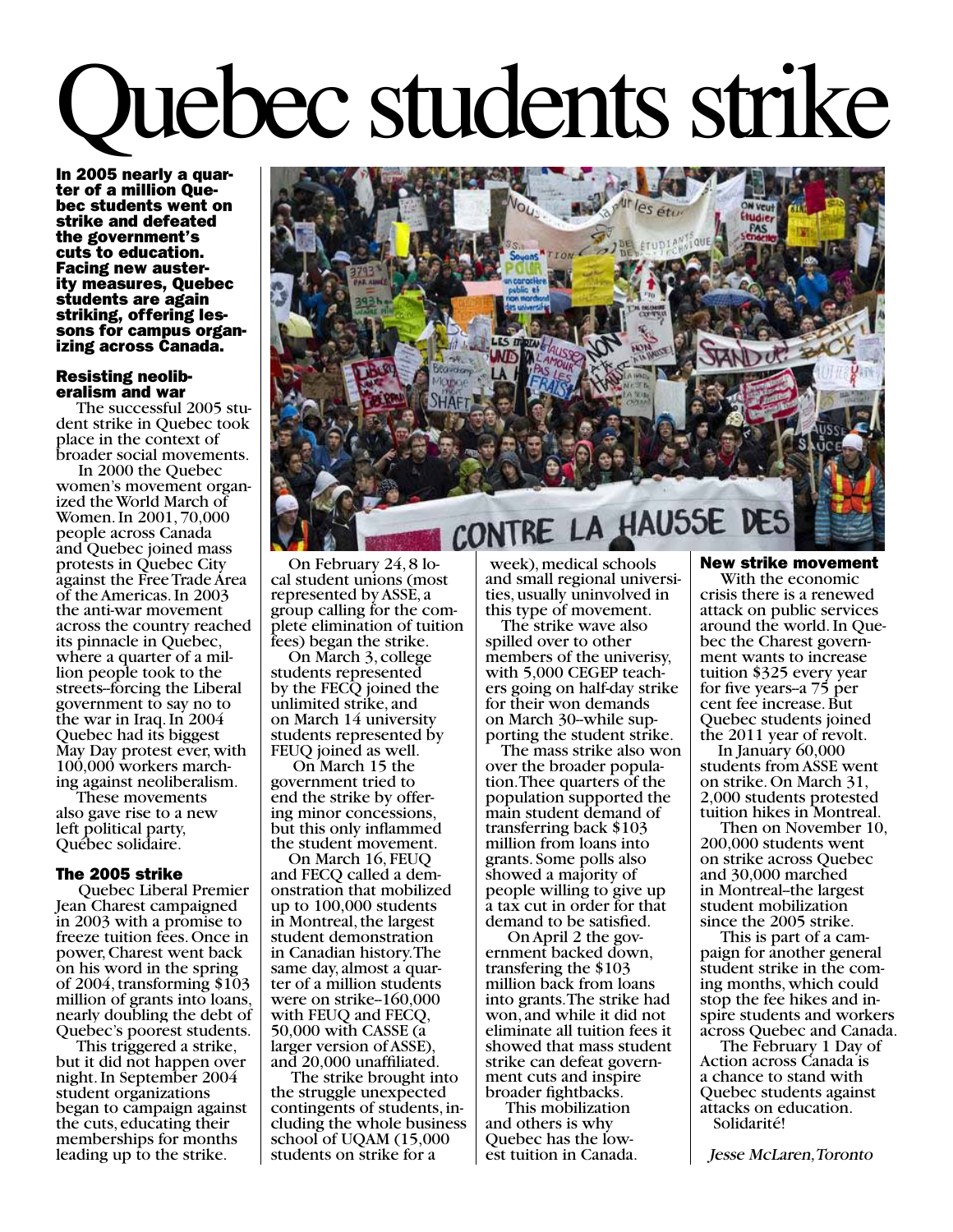# Quebec students strike

In 2005 nearly a quar- ter of a million Que- bec students went on strike and defeated the government's cuts to education. Facing new auster- ity measures, Quebec students are again striking, offering les-<br>sons for campus organ-<br>izing across Canada.

### **Resisting neolib-<br>eralism and war<br>The successful 2005 stu-**

dent strike in Quebec took place in the context of broader social movements.

 In 2000 the Quebec women's movement organ- ized the World March of Women. In 2001, 70,000 people across Canada and Quebec joined mass protests in Quebec City against the Free Trade Area of the Americas. In 2003 the anti-war movement across the country reached its pinnacle in Quebec, where a quarter of a mil-<br>lion people took to the streets--forcing the Liberal government to say no to the war in Iraq. In 2004 Quebec had its biggest May Day protest ever, with ing against neoliberalism.

 These movements also gave rise to a new left political party, Québec solidaire.

#### The 2005 strike

 Quebec Liberal Premier Jean Charest campaigned in 2003 with a promise to freeze tuition fees. Once in power, Charest went back on his word in the spring of 2004, transforming \$103 million of grants into loans, nearly doubling the debt of Quebec's poorest students.

 This triggered a strike, but it did not happen over night. In September 2004 student organizations began to campaign against the cuts, educating their memberships for months leading up to the strike.



 On February 24, 8 lo- cal student unions (most represented by ASSE, a group calling for the com- plete elimination of tuition fees) began the strike.

 On March 3, college students represented by the FECQ joined the unlimited strike, and on March 14 university students represented by FEUQ joined as well.

 On March 15 the government tried to end the strike by offer-<br>ing minor concessions, but this only inflammed the student movement.

On March 16, FEUQ<br>and FECQ called a demonstration that mobilized up to 100,000 students in Montreal, the largest student demonstration in Canadian history. The same day, almost a quar-<br>ter of a million students were on strike-160,000 with FEUQ and FECQ, 50,000 with CASSE (a larger version of ASSE), and 20,000 unaffiliated.

 The strike brought into the struggle unexpected contingents of students, in- cluding the whole business school of UQAM (15,000) students on strike for a

 week), medical schools and small regional universi- ties, usually uninvolved in this type of movement.

 The strike wave also spilled over to other members of the univerisy,<br>with 5,000 CEGEP teachers going on half-day strike for their won demands<br>on March 30-while supporting the student strike.

The mass strike also won<br>over the broader population. Thee quarters of the population supported the main student demand of transferring back \$103 million from loans into grants. Some polls also showed a majority of people willing to give up a tax cut in order for that demand to be satisfied.

 On April 2 the gov- ernment backed down, transfering the \$103 million back from loans into grants. The strike had won, and while it did not eliminate all tuition fees it showed that mass student strike can defeat govern- ment cuts and inspire broader fightbacks.

 This mobilization and others is why Quebec has the low- est tuition in Canada. New strike movement

 With the economic crisis there is a renewed attack on public services bec the Charest govern-<br>ment wants to increase tuition \$325 every year for five years--a 75 per cent fee increase. But Quebec students joined the 2011 year of revolt.

 In January 60,000 students from ASSE went on strike. On March 31, 2,000 students protested tuition hikes in Montreal.

 Then on November 10, 200,000 students went on strike across Quebec and 30,000 marched in Montreal--the largest student mobilization since the 2005 strike.

 This is part of a cam- paign for another general student strike in the com-<br>ing months, which could stop the fee hikes and in- spire students and workers across Quebec and Canada.

 The February 1 Day of Action across Canada is a chance to stand with Quebec students against attacks on education. Solidarité!

Jesse McLaren, Toronto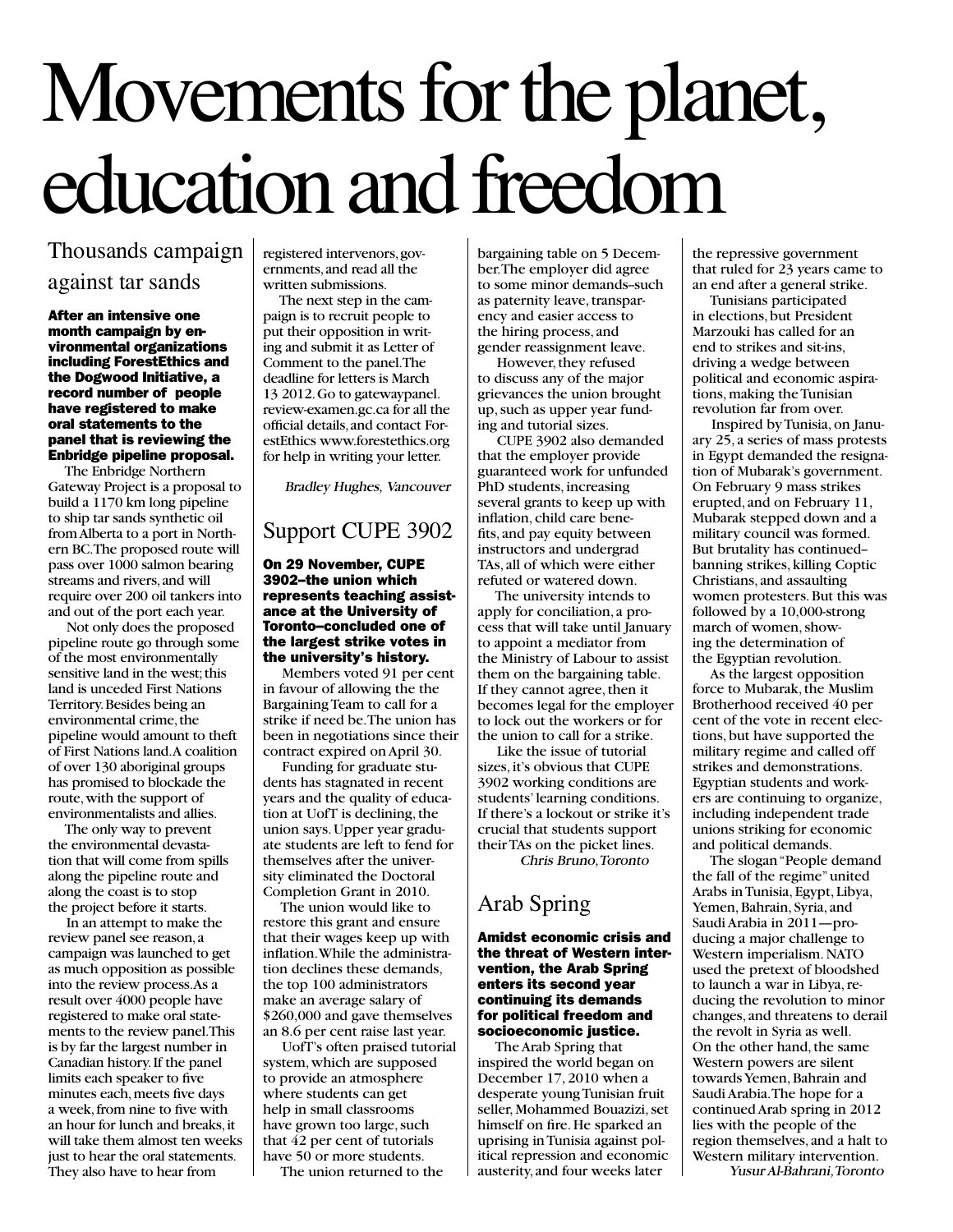## Movements for the planet, education and freedom

#### Thousands campaign against tar sands

After an intensive one month campaign by environmental organizations including ForestEthics and the Dogwood Initiative, a record number of people have registered to make oral statements to the panel that is reviewing the Enbridge pipeline proposal.

 The Enbridge Northern Gateway Project is a proposal to build a 1170 km long pipeline to ship tar sands synthetic oil from Alberta to a port in Northern BC. The proposed route will pass over 1000 salmon bearing streams and rivers, and will require over 200 oil tankers into and out of the port each year.

 Not only does the proposed pipeline route go through some of the most environmentally sensitive land in the west; this land is unceded First Nations Territory. Besides being an environmental crime, the pipeline would amount to theft of First Nations land. A coalition of over 130 aboriginal groups has promised to blockade the route, with the support of environmentalists and allies.

 The only way to prevent the environmental devastation that will come from spills along the pipeline route and along the coast is to stop the project before it starts.

 In an attempt to make the review panel see reason, a campaign was launched to get as much opposition as possible into the review process. As a result over 4000 people have registered to make oral statements to the review panel. This is by far the largest number in Canadian history. If the panel limits each speaker to five minutes each, meets five days a week, from nine to five with an hour for lunch and breaks, it will take them almost ten weeks just to hear the oral statements. They also have to hear from

registered intervenors, governments, and read all the written submissions.

 The next step in the campaign is to recruit people to put their opposition in writing and submit it as Letter of Comment to the panel. The deadline for letters is March 13 2012. Go to gatewaypanel. review-examen.gc.ca for all the official details, and contact ForestEthics www.forestethics.org for help in writing your letter.

Bradley Hughes, Vancouver

#### Support CUPE 3902

#### On 29 November, CUPE 3902--the union which represents teaching assistance at the University of Toronto--concluded one of the largest strike votes in the university's history.

 Members voted 91 per cent in favour of allowing the the Bargaining Team to call for a strike if need be. The union has been in negotiations since their contract expired on April 30.

 Funding for graduate students has stagnated in recent years and the quality of education at UofT is declining, the union says. Upper year graduate students are left to fend for themselves after the university eliminated the Doctoral Completion Grant in 2010.

 The union would like to restore this grant and ensure that their wages keep up with inflation. While the administration declines these demands, the top 100 administrators make an average salary of \$260,000 and gave themselves an 8.6 per cent raise last year.

 UofT's often praised tutorial system, which are supposed to provide an atmosphere where students can get help in small classrooms have grown too large, such that 42 per cent of tutorials have 50 or more students.

The union returned to the

bargaining table on 5 December. The employer did agree to some minor demands-such as paternity leave, transparency and easier access to the hiring process, and gender reassignment leave.

 However, they refused to discuss any of the major grievances the union brought up, such as upper year funding and tutorial sizes.

 CUPE 3902 also demanded that the employer provide guaranteed work for unfunded PhD students, increasing several grants to keep up with inflation, child care benefits, and pay equity between instructors and undergrad TAs, all of which were either refuted or watered down.

 The university intends to apply for conciliation, a process that will take until January to appoint a mediator from the Ministry of Labour to assist them on the bargaining table. If they cannot agree, then it becomes legal for the employer to lock out the workers or for the union to call for a strike.

 Like the issue of tutorial sizes, it's obvious that CUPE 3902 working conditions are students' learning conditions. If there's a lockout or strike it's crucial that students support their TAs on the picket lines.

Chris Bruno, Toronto

#### Arab Spring

#### Amidst economic crisis and the threat of Western intervention, the Arab Spring enters its second year continuing its demands for political freedom and socioeconomic iustice.

 The Arab Spring that inspired the world began on December 17, 2010 when a desperate young Tunisian fruit seller, Mohammed Bouazizi, set himself on fire. He sparked an uprising in Tunisia against political repression and economic austerity, and four weeks later

the repressive government that ruled for 23 years came to an end after a general strike.

 Tunisians participated in elections, but President Marzouki has called for an end to strikes and sit-ins, driving a wedge between political and economic aspirations, making the Tunisian revolution far from over.

 Inspired by Tunisia, on January 25, a series of mass protests in Egypt demanded the resignation of Mubarak's government. On February 9 mass strikes erupted, and on February 11, Mubarak stepped down and a military council was formed. But brutality has continued- banning strikes, killing Coptic Christians, and assaulting women protesters. But this was followed by a 10,000-strong march of women, showing the determination of the Egyptian revolution.

 As the largest opposition force to Mubarak, the Muslim Brotherhood received 40 per cent of the vote in recent elections, but have supported the military regime and called off strikes and demonstrations. Egyptian students and workers are continuing to organize, including independent trade unions striking for economic and political demands.

 The slogan "People demand the fall of the regime" united Arabs in Tunisia, Egypt, Libya, Yemen, Bahrain, Syria, and Saudi Arabia in 2011—producing a major challenge to Western imperialism. NATO used the pretext of bloodshed to launch a war in Libya, reducing the revolution to minor changes, and threatens to derail the revolt in Syria as well. On the other hand, the same Western powers are silent towards Yemen, Bahrain and Saudi Arabia. The hope for a continued Arab spring in 2012 lies with the people of the region themselves, and a halt to Western military intervention. Yusur Al-Bahrani, Toronto